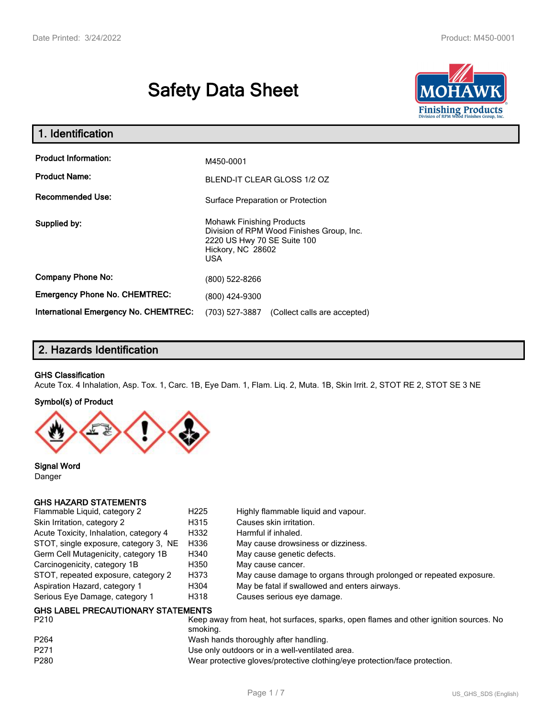# **Safety Data Sheet**



| 1. Identification                                   |                                                                                                                                          |
|-----------------------------------------------------|------------------------------------------------------------------------------------------------------------------------------------------|
| <b>Product Information:</b><br><b>Product Name:</b> | M450-0001<br><b>BLEND-IT CLEAR GLOSS 1/2 OZ</b>                                                                                          |
| Recommended Use:                                    | Surface Preparation or Protection                                                                                                        |
| Supplied by:                                        | <b>Mohawk Finishing Products</b><br>Division of RPM Wood Finishes Group, Inc.<br>2220 US Hwy 70 SE Suite 100<br>Hickory, NC 28602<br>USA |
| <b>Company Phone No:</b>                            | (800) 522-8266                                                                                                                           |
| <b>Emergency Phone No. CHEMTREC:</b>                | (800) 424-9300                                                                                                                           |
| <b>International Emergency No. CHEMTREC:</b>        | (703) 527-3887<br>(Collect calls are accepted)                                                                                           |

# **2. Hazards Identification**

#### **GHS Classification**

Acute Tox. 4 Inhalation, Asp. Tox. 1, Carc. 1B, Eye Dam. 1, Flam. Liq. 2, Muta. 1B, Skin Irrit. 2, STOT RE 2, STOT SE 3 NE

#### **Symbol(s) of Product**



**Signal Word** Danger

# **GHS HAZARD STATEMENTS**

| Flammable Liquid, category 2              | H <sub>225</sub> | Highly flammable liquid and vapour.                                                   |
|-------------------------------------------|------------------|---------------------------------------------------------------------------------------|
| Skin Irritation, category 2               | H315             | Causes skin irritation.                                                               |
| Acute Toxicity, Inhalation, category 4    | H332             | Harmful if inhaled.                                                                   |
| STOT, single exposure, category 3, NE     | H336             | May cause drowsiness or dizziness.                                                    |
| Germ Cell Mutagenicity, category 1B       | H340             | May cause genetic defects.                                                            |
| Carcinogenicity, category 1B              | H350             | May cause cancer.                                                                     |
| STOT, repeated exposure, category 2       | H373             | May cause damage to organs through prolonged or repeated exposure.                    |
| Aspiration Hazard, category 1             | H304             | May be fatal if swallowed and enters airways.                                         |
| Serious Eye Damage, category 1            | H318             | Causes serious eye damage.                                                            |
| <b>GHS LABEL PRECAUTIONARY STATEMENTS</b> |                  |                                                                                       |
| P <sub>210</sub>                          |                  | Keep away from heat, hot surfaces, sparks, open flames and other junition sources. No |

| <b>FZIU</b>      | Reep away from Heat, Hot Surfaces, Sparks, Open Hames and Other Ignition Sources. No<br>smoking. |
|------------------|--------------------------------------------------------------------------------------------------|
| P <sub>264</sub> | Wash hands thoroughly after handling.                                                            |
| P <sub>271</sub> | Use only outdoors or in a well-ventilated area.                                                  |
| P280             | Wear protective gloves/protective clothing/eye protection/face protection.                       |
|                  |                                                                                                  |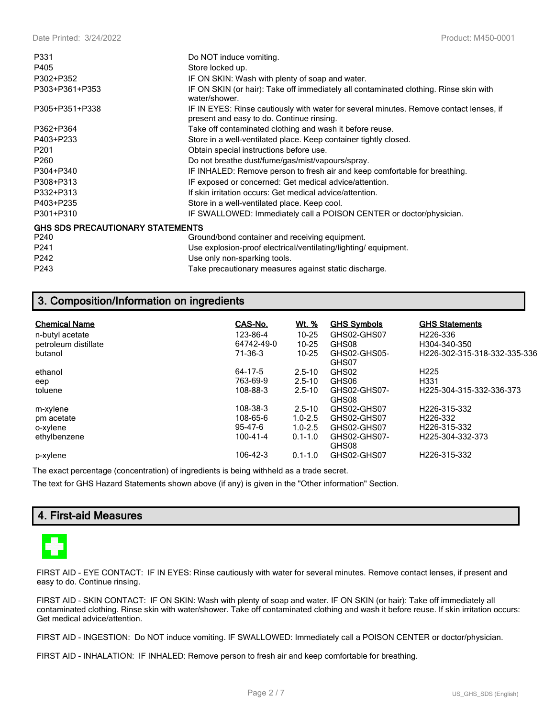| P331                                    | Do NOT induce vomiting.                                                                                                             |
|-----------------------------------------|-------------------------------------------------------------------------------------------------------------------------------------|
| P405                                    | Store locked up.                                                                                                                    |
| P302+P352                               | IF ON SKIN: Wash with plenty of soap and water.                                                                                     |
| P303+P361+P353                          | IF ON SKIN (or hair): Take off immediately all contaminated clothing. Rinse skin with<br>water/shower.                              |
| P305+P351+P338                          | IF IN EYES: Rinse cautiously with water for several minutes. Remove contact lenses, if<br>present and easy to do. Continue rinsing. |
| P362+P364                               | Take off contaminated clothing and wash it before reuse.                                                                            |
| P403+P233                               | Store in a well-ventilated place. Keep container tightly closed.                                                                    |
| P201                                    | Obtain special instructions before use.                                                                                             |
| P <sub>260</sub>                        | Do not breathe dust/fume/gas/mist/vapours/spray.                                                                                    |
| P304+P340                               | IF INHALED: Remove person to fresh air and keep comfortable for breathing.                                                          |
| P308+P313                               | IF exposed or concerned: Get medical advice/attention.                                                                              |
| P332+P313                               | If skin irritation occurs: Get medical advice/attention.                                                                            |
| P403+P235                               | Store in a well-ventilated place. Keep cool.                                                                                        |
| P301+P310                               | IF SWALLOWED: Immediately call a POISON CENTER or doctor/physician.                                                                 |
| <b>GHS SDS PRECAUTIONARY STATEMENTS</b> |                                                                                                                                     |
| P <sub>240</sub>                        | Ground/bond container and receiving equipment.                                                                                      |
| P <sub>241</sub>                        | Use explosion-proof electrical/ventilating/lighting/equipment.                                                                      |
| P <sub>242</sub>                        | Use only non-sparking tools.                                                                                                        |
| P243                                    | Take precautionary measures against static discharge.                                                                               |

# **3. Composition/Information on ingredients**

| <b>Chemical Name</b> | CAS-No.    | <u>Wt. %</u> | <b>GHS Symbols</b>    | <b>GHS Statements</b>                     |
|----------------------|------------|--------------|-----------------------|-------------------------------------------|
| n-butyl acetate      | 123-86-4   | $10 - 25$    | GHS02-GHS07           | H <sub>226</sub> -336                     |
| petroleum distillate | 64742-49-0 | $10 - 25$    | GHS08                 | H304-340-350                              |
| butanol              | 71-36-3    | $10 - 25$    | GHS02-GHS05-          | H <sub>226</sub> -302-315-318-332-335-336 |
|                      |            |              | GHS07                 |                                           |
| ethanol              | 64-17-5    | $2.5 - 10$   | GHS02                 | H <sub>225</sub>                          |
| eep                  | 763-69-9   | $2.5 - 10$   | GHS06                 | H331                                      |
| toluene              | 108-88-3   | $2.5 - 10$   | GHS02-GHS07-          | H225-304-315-332-336-373                  |
|                      |            |              | GHS08                 |                                           |
| m-xylene             | 108-38-3   | $2.5 - 10$   | GHS02-GHS07           | H <sub>226</sub> -315-332                 |
| pm acetate           | 108-65-6   | $1.0 - 2.5$  | GHS02-GHS07           | H <sub>226</sub> -332                     |
| o-xylene             | 95-47-6    | $1.0 - 2.5$  | GHS02-GHS07           | H <sub>226</sub> -315-332                 |
| ethylbenzene         | 100-41-4   | $0.1 - 1.0$  | GHS02-GHS07-<br>GHS08 | H <sub>225</sub> -304-332-373             |
| p-xylene             | 106-42-3   | $0.1 - 1.0$  | GHS02-GHS07           | H226-315-332                              |

The exact percentage (concentration) of ingredients is being withheld as a trade secret.

The text for GHS Hazard Statements shown above (if any) is given in the "Other information" Section.

# **4. First-aid Measures**



FIRST AID - EYE CONTACT: IF IN EYES: Rinse cautiously with water for several minutes. Remove contact lenses, if present and easy to do. Continue rinsing.

FIRST AID - SKIN CONTACT: IF ON SKIN: Wash with plenty of soap and water. IF ON SKIN (or hair): Take off immediately all contaminated clothing. Rinse skin with water/shower. Take off contaminated clothing and wash it before reuse. If skin irritation occurs: Get medical advice/attention.

FIRST AID - INGESTION: Do NOT induce vomiting. IF SWALLOWED: Immediately call a POISON CENTER or doctor/physician.

FIRST AID - INHALATION: IF INHALED: Remove person to fresh air and keep comfortable for breathing.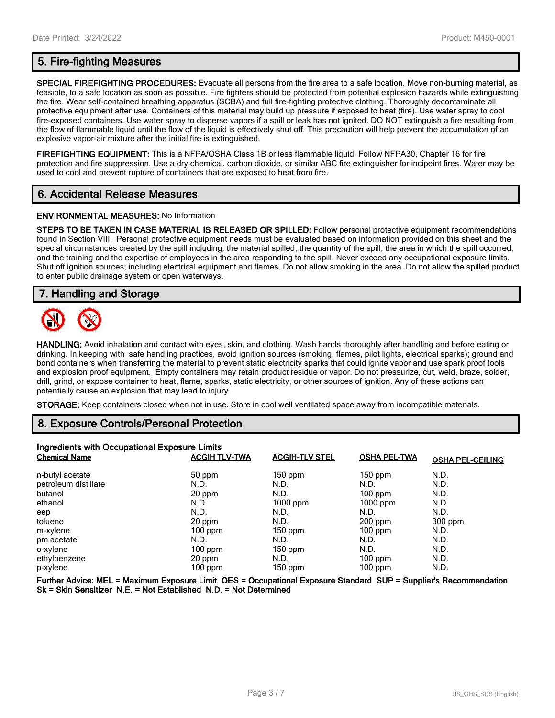**SPECIAL FIREFIGHTING PROCEDURES:** Evacuate all persons from the fire area to a safe location. Move non-burning material, as feasible, to a safe location as soon as possible. Fire fighters should be protected from potential explosion hazards while extinguishing the fire. Wear self-contained breathing apparatus (SCBA) and full fire-fighting protective clothing. Thoroughly decontaminate all protective equipment after use. Containers of this material may build up pressure if exposed to heat (fire). Use water spray to cool fire-exposed containers. Use water spray to disperse vapors if a spill or leak has not ignited. DO NOT extinguish a fire resulting from the flow of flammable liquid until the flow of the liquid is effectively shut off. This precaution will help prevent the accumulation of an explosive vapor-air mixture after the initial fire is extinguished.

**FIREFIGHTING EQUIPMENT:** This is a NFPA/OSHA Class 1B or less flammable liquid. Follow NFPA30, Chapter 16 for fire protection and fire suppression. Use a dry chemical, carbon dioxide, or similar ABC fire extinguisher for incipeint fires. Water may be used to cool and prevent rupture of containers that are exposed to heat from fire.

# **6. Accidental Release Measures**

#### **ENVIRONMENTAL MEASURES:** No Information

**STEPS TO BE TAKEN IN CASE MATERIAL IS RELEASED OR SPILLED:** Follow personal protective equipment recommendations found in Section VIII. Personal protective equipment needs must be evaluated based on information provided on this sheet and the special circumstances created by the spill including; the material spilled, the quantity of the spill, the area in which the spill occurred, and the training and the expertise of employees in the area responding to the spill. Never exceed any occupational exposure limits. Shut off ignition sources; including electrical equipment and flames. Do not allow smoking in the area. Do not allow the spilled product to enter public drainage system or open waterways.

# **7. Handling and Storage**



**HANDLING:** Avoid inhalation and contact with eyes, skin, and clothing. Wash hands thoroughly after handling and before eating or drinking. In keeping with safe handling practices, avoid ignition sources (smoking, flames, pilot lights, electrical sparks); ground and bond containers when transferring the material to prevent static electricity sparks that could ignite vapor and use spark proof tools and explosion proof equipment. Empty containers may retain product residue or vapor. Do not pressurize, cut, weld, braze, solder, drill, grind, or expose container to heat, flame, sparks, static electricity, or other sources of ignition. Any of these actions can potentially cause an explosion that may lead to injury.

**STORAGE:** Keep containers closed when not in use. Store in cool well ventilated space away from incompatible materials.

# **8. Exposure Controls/Personal Protection**

| Ingredients with Occupational Exposure Limits |                      |                       |                     |                         |  |
|-----------------------------------------------|----------------------|-----------------------|---------------------|-------------------------|--|
| <b>Chemical Name</b>                          | <b>ACGIH TLV-TWA</b> | <b>ACGIH-TLV STEL</b> | <b>OSHA PEL-TWA</b> | <b>OSHA PEL-CEILING</b> |  |
| n-butyl acetate                               | 50 ppm               | $150$ ppm             | $150$ ppm           | N.D.                    |  |
| petroleum distillate                          | N.D.                 | N.D.                  | N.D.                | N.D.                    |  |
| butanol                                       | 20 ppm               | N.D.                  | $100$ ppm           | N.D.                    |  |
| ethanol                                       | N.D.                 | $1000$ ppm            | $1000$ ppm          | N.D.                    |  |
| eep                                           | N.D.                 | N.D.                  | N.D.                | N.D.                    |  |
| toluene                                       | 20 ppm               | N.D.                  | $200$ ppm           | 300 ppm                 |  |
| m-xylene                                      | $100$ ppm            | $150$ ppm             | $100$ ppm           | N.D.                    |  |
| pm acetate                                    | N.D.                 | N.D.                  | N.D.                | N.D.                    |  |
| o-xylene                                      | $100$ ppm            | $150$ ppm             | N.D.                | N.D.                    |  |
| ethylbenzene                                  | 20 ppm               | N.D.                  | $100$ ppm           | N.D.                    |  |
| p-xylene                                      | 100 ppm              | $150$ ppm             | 100 ppm             | N.D.                    |  |

**Further Advice: MEL = Maximum Exposure Limit OES = Occupational Exposure Standard SUP = Supplier's Recommendation Sk = Skin Sensitizer N.E. = Not Established N.D. = Not Determined**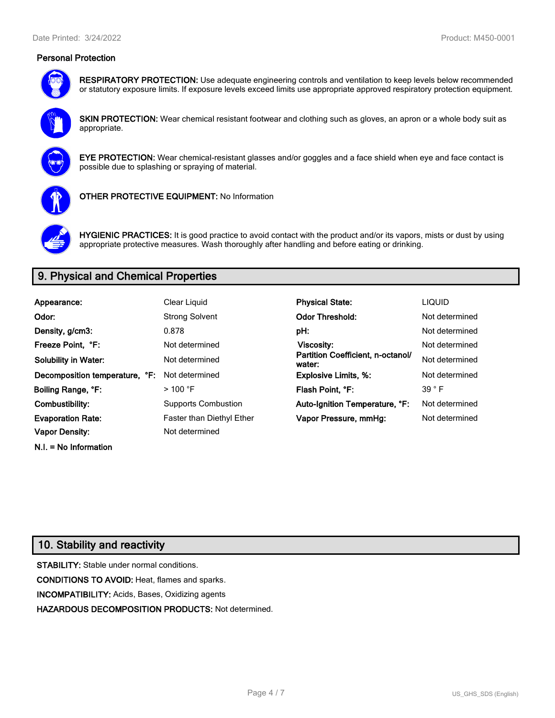# **Personal Protection**



**RESPIRATORY PROTECTION:** Use adequate engineering controls and ventilation to keep levels below recommended or statutory exposure limits. If exposure levels exceed limits use appropriate approved respiratory protection equipment.

**SKIN PROTECTION:** Wear chemical resistant footwear and clothing such as gloves, an apron or a whole body suit as appropriate.



**EYE PROTECTION:** Wear chemical-resistant glasses and/or goggles and a face shield when eye and face contact is possible due to splashing or spraying of material.



**OTHER PROTECTIVE EQUIPMENT:** No Information



**HYGIENIC PRACTICES:** It is good practice to avoid contact with the product and/or its vapors, mists or dust by using appropriate protective measures. Wash thoroughly after handling and before eating or drinking.

# **9. Physical and Chemical Properties**

| Appearance:                    | Clear Liquid                     | <b>Physical State:</b>                      | <b>LIQUID</b>  |
|--------------------------------|----------------------------------|---------------------------------------------|----------------|
| Odor:                          | <b>Strong Solvent</b>            | <b>Odor Threshold:</b>                      | Not determined |
| Density, g/cm3:                | 0.878                            | pH:                                         | Not determined |
| Freeze Point, °F:              | Not determined                   | <b>Viscosity:</b>                           | Not determined |
| <b>Solubility in Water:</b>    | Not determined                   | Partition Coefficient, n-octanol/<br>water: | Not determined |
| Decomposition temperature, °F: | Not determined                   | <b>Explosive Limits, %:</b>                 | Not determined |
| Boiling Range, °F:             | $>100$ °F                        | Flash Point, °F:                            | $39°$ F        |
| Combustibility:                | <b>Supports Combustion</b>       | Auto-Ignition Temperature, °F:              | Not determined |
| <b>Evaporation Rate:</b>       | <b>Faster than Diethyl Ether</b> | Vapor Pressure, mmHg:                       | Not determined |
| <b>Vapor Density:</b>          | Not determined                   |                                             |                |

# **10. Stability and reactivity**

**N.I. = No Information**

**STABILITY:** Stable under normal conditions. **CONDITIONS TO AVOID:** Heat, flames and sparks. **INCOMPATIBILITY:** Acids, Bases, Oxidizing agents **HAZARDOUS DECOMPOSITION PRODUCTS:** Not determined.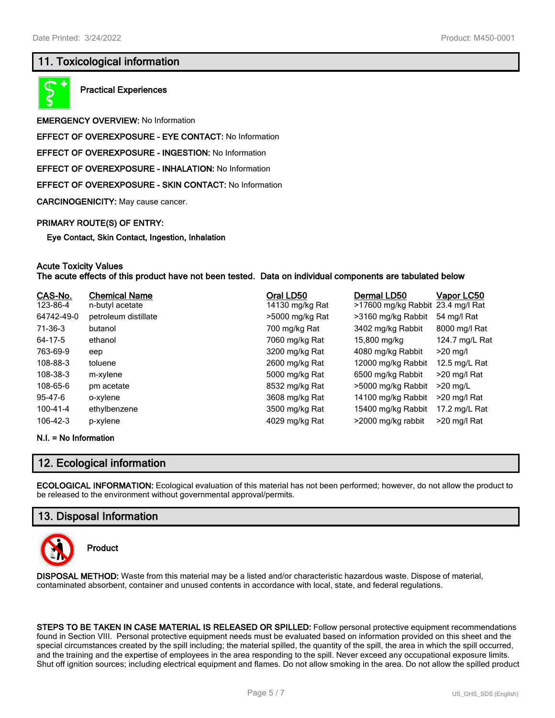# **11. Toxicological information**



**Practical Experiences**

**EMERGENCY OVERVIEW:** No Information

**EFFECT OF OVEREXPOSURE - EYE CONTACT:** No Information

**EFFECT OF OVEREXPOSURE - INGESTION:** No Information

**EFFECT OF OVEREXPOSURE - INHALATION:** No Information

**EFFECT OF OVEREXPOSURE - SKIN CONTACT:** No Information

**CARCINOGENICITY:** May cause cancer.

#### **PRIMARY ROUTE(S) OF ENTRY:**

**Eye Contact, Skin Contact, Ingestion, Inhalation**

#### **Acute Toxicity Values The acute effects of this product have not been tested. Data on individual components are tabulated below**

| CAS-No.        | <b>Chemical Name</b> | Oral LD50       | Dermal LD50                       | Vapor LC50     |
|----------------|----------------------|-----------------|-----------------------------------|----------------|
| 123-86-4       | n-butyl acetate      | 14130 mg/kg Rat | >17600 mg/kg Rabbit 23.4 mg/l Rat |                |
| 64742-49-0     | petroleum distillate | >5000 mg/kg Rat | >3160 mg/kg Rabbit                | 54 mg/l Rat    |
| 71-36-3        | butanol              | 700 mg/kg Rat   | 3402 mg/kg Rabbit                 | 8000 mg/l Rat  |
| 64-17-5        | ethanol              | 7060 mg/kg Rat  | 15,800 mg/kg                      | 124.7 mg/L Rat |
| 763-69-9       | eep                  | 3200 mg/kg Rat  | 4080 mg/kg Rabbit                 | $>20$ mg/l     |
| 108-88-3       | toluene              | 2600 mg/kg Rat  | 12000 mg/kg Rabbit                | 12.5 mg/L Rat  |
| 108-38-3       | m-xylene             | 5000 mg/kg Rat  | 6500 mg/kg Rabbit                 | >20 mg/l Rat   |
| 108-65-6       | pm acetate           | 8532 mg/kg Rat  | >5000 mg/kg Rabbit                | $>20$ mg/L     |
| 95-47-6        | o-xylene             | 3608 mg/kg Rat  | 14100 mg/kg Rabbit                | >20 mg/l Rat   |
| $100 - 41 - 4$ | ethylbenzene         | 3500 mg/kg Rat  | 15400 mg/kg Rabbit                | 17.2 mg/L Rat  |
| 106-42-3       | p-xylene             | 4029 mg/kg Rat  | >2000 mg/kg rabbit                | >20 mg/l Rat   |

#### **N.I. = No Information**

# **12. Ecological information**

**ECOLOGICAL INFORMATION:** Ecological evaluation of this material has not been performed; however, do not allow the product to be released to the environment without governmental approval/permits.

# **13. Disposal Information**



**Product**

**DISPOSAL METHOD:** Waste from this material may be a listed and/or characteristic hazardous waste. Dispose of material, contaminated absorbent, container and unused contents in accordance with local, state, and federal regulations.

**STEPS TO BE TAKEN IN CASE MATERIAL IS RELEASED OR SPILLED:** Follow personal protective equipment recommendations found in Section VIII. Personal protective equipment needs must be evaluated based on information provided on this sheet and the special circumstances created by the spill including; the material spilled, the quantity of the spill, the area in which the spill occurred, and the training and the expertise of employees in the area responding to the spill. Never exceed any occupational exposure limits. Shut off ignition sources; including electrical equipment and flames. Do not allow smoking in the area. Do not allow the spilled product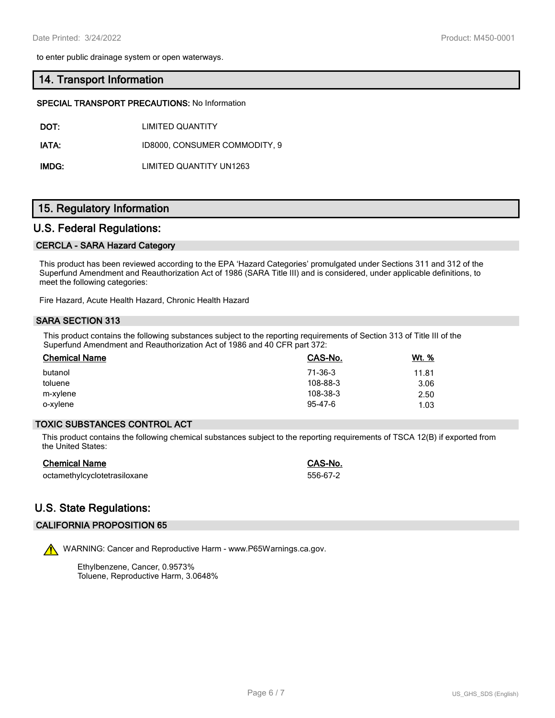to enter public drainage system or open waterways.

### **14. Transport Information**

#### **SPECIAL TRANSPORT PRECAUTIONS:** No Information

**DOT:** LIMITED QUANTITY

IATA: ID8000, CONSUMER COMMODITY, 9

**IMDG:** LIMITED QUANTITY UN1263

## **15. Regulatory Information**

## **U.S. Federal Regulations:**

#### **CERCLA - SARA Hazard Category**

This product has been reviewed according to the EPA 'Hazard Categories' promulgated under Sections 311 and 312 of the Superfund Amendment and Reauthorization Act of 1986 (SARA Title III) and is considered, under applicable definitions, to meet the following categories:

Fire Hazard, Acute Health Hazard, Chronic Health Hazard

#### **SARA SECTION 313**

This product contains the following substances subject to the reporting requirements of Section 313 of Title III of the Superfund Amendment and Reauthorization Act of 1986 and 40 CFR part 372:

| <b>Chemical Name</b> | CAS-No.       | Wt. % |
|----------------------|---------------|-------|
| butanol              | 71-36-3       | 11.81 |
| toluene              | 108-88-3      | 3.06  |
| m-xylene             | 108-38-3      | 2.50  |
| o-xylene             | $95 - 47 - 6$ | 1.03  |

## **TOXIC SUBSTANCES CONTROL ACT**

This product contains the following chemical substances subject to the reporting requirements of TSCA 12(B) if exported from the United States:

| <b>Chemical Name</b>         | CAS-No.  |
|------------------------------|----------|
| octamethylcyclotetrasiloxane | 556-67-2 |

# **U.S. State Regulations:**

# **CALIFORNIA PROPOSITION 65**

WARNING: Cancer and Reproductive Harm - www.P65Warnings.ca.gov.

Ethylbenzene, Cancer, 0.9573% Toluene, Reproductive Harm, 3.0648%